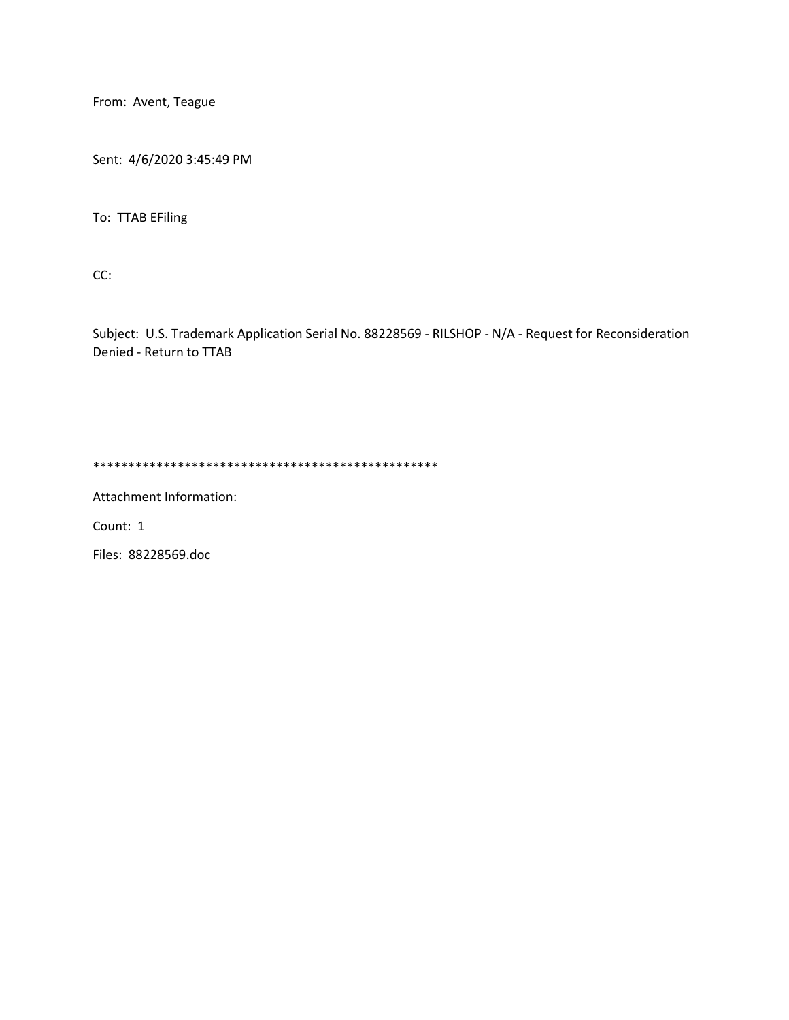From: Avent, Teague

Sent: 4/6/2020 3:45:49 PM

To: TTAB EFiling

CC:

Subject: U.S. Trademark Application Serial No. 88228569 - RILSHOP - N/A - Request for Reconsideration Denied - Return to TTAB

\*\*\*\*\*\*\*\*\*\*\*\*\*\*\*\*\*\*\*\*\*\*\*\*\*\*\*\*\*\*\*\*\*\*\*\*\*\*\*\*\*\*\*\*\*\*\*\*\*

Attachment Information:

Count: 1

Files: 88228569.doc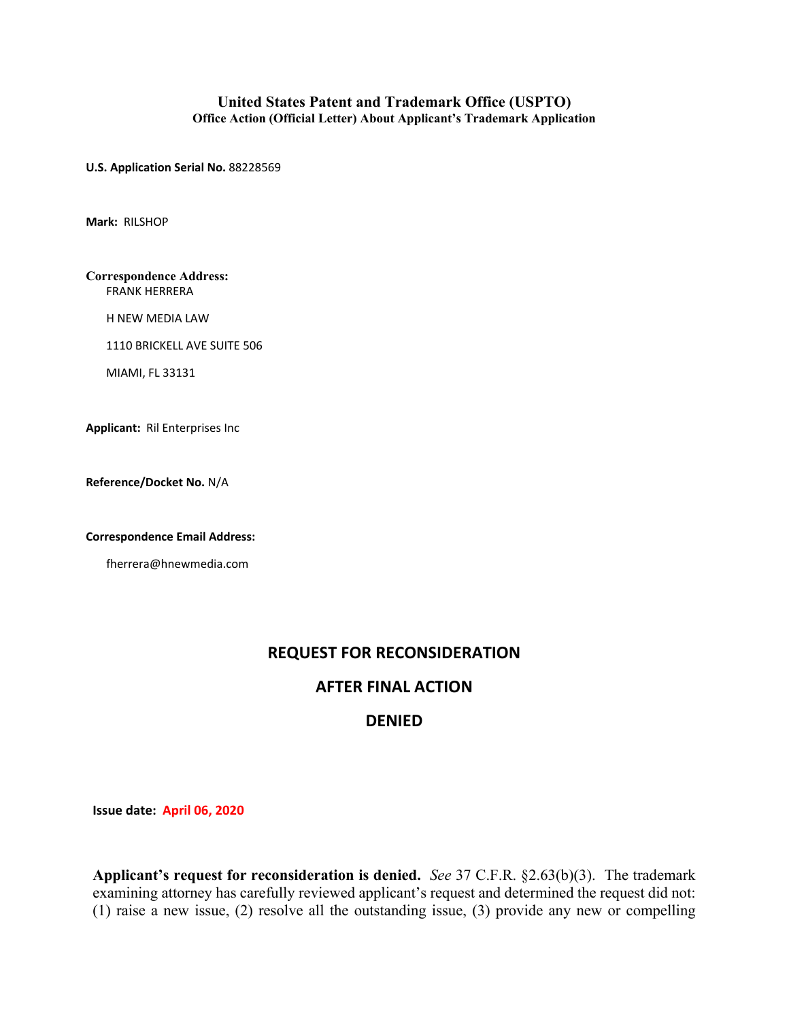## **United States Patent and Trademark Office (USPTO) Office Action (Official Letter) About Applicant's Trademark Application**

**U.S. Application Serial No.** 88228569

**Mark:** RILSHOP

**Correspondence Address:** FRANK HERRERA

H NEW MEDIA LAW

1110 BRICKELL AVE SUITE 506

MIAMI, FL 33131

**Applicant:** Ril Enterprises Inc

**Reference/Docket No.** N/A

**Correspondence Email Address:**

fherrera@hnewmedia.com

## **REQUEST FOR RECONSIDERATION**

## **AFTER FINAL ACTION**

## **DENIED**

**Issue date: April 06, 2020**

**Applicant's request for reconsideration is denied.** *See* 37 C.F.R. §2.63(b)(3). The trademark examining attorney has carefully reviewed applicant's request and determined the request did not: (1) raise a new issue, (2) resolve all the outstanding issue, (3) provide any new or compelling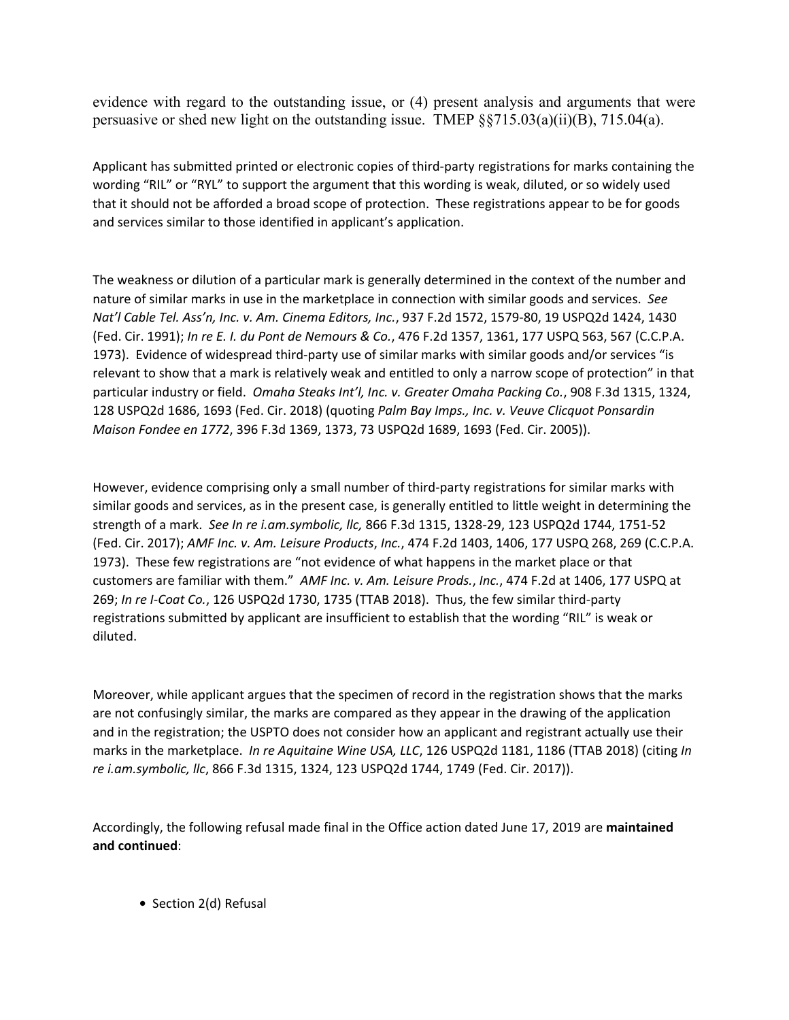evidence with regard to the outstanding issue, or (4) present analysis and arguments that were persuasive or shed new light on the outstanding issue. TMEP §§715.03(a)(ii)(B), 715.04(a).

Applicant has submitted printed or electronic copies of third-party registrations for marks containing the wording "RIL" or "RYL" to support the argument that this wording is weak, diluted, or so widely used that it should not be afforded a broad scope of protection. These registrations appear to be for goods and services similar to those identified in applicant's application.

The weakness or dilution of a particular mark is generally determined in the context of the number and nature of similar marks in use in the marketplace in connection with similar goods and services. *See Nat'l Cable Tel. Ass'n, Inc. v. Am. Cinema Editors, Inc.*, 937 F.2d 1572, 1579-80, 19 USPQ2d 1424, 1430 (Fed. Cir. 1991); *In re E. I. du Pont de Nemours & Co.*, 476 F.2d 1357, 1361, 177 USPQ 563, 567 (C.C.P.A. 1973). Evidence of widespread third-party use of similar marks with similar goods and/or services "is relevant to show that a mark is relatively weak and entitled to only a narrow scope of protection" in that particular industry or field. *Omaha Steaks Int'l, Inc. v. Greater Omaha Packing Co.*, 908 F.3d 1315, 1324, 128 USPQ2d 1686, 1693 (Fed. Cir. 2018) (quoting *Palm Bay Imps., Inc. v. Veuve Clicquot Ponsardin Maison Fondee en 1772*, 396 F.3d 1369, 1373, 73 USPQ2d 1689, 1693 (Fed. Cir. 2005)).

However, evidence comprising only a small number of third-party registrations for similar marks with similar goods and services, as in the present case, is generally entitled to little weight in determining the strength of a mark. *See In re i.am.symbolic, llc,* 866 F.3d 1315, 1328-29, 123 USPQ2d 1744, 1751-52 (Fed. Cir. 2017); *AMF Inc. v. Am. Leisure Products*, *Inc.*, 474 F.2d 1403, 1406, 177 USPQ 268, 269 (C.C.P.A. 1973). These few registrations are "not evidence of what happens in the market place or that customers are familiar with them." *AMF Inc. v. Am. Leisure Prods.*, *Inc.*, 474 F.2d at 1406, 177 USPQ at 269; *In re I-Coat Co.*, 126 USPQ2d 1730, 1735 (TTAB 2018). Thus, the few similar third-party registrations submitted by applicant are insufficient to establish that the wording "RIL" is weak or diluted.

Moreover, while applicant argues that the specimen of record in the registration shows that the marks are not confusingly similar, the marks are compared as they appear in the drawing of the application and in the registration; the USPTO does not consider how an applicant and registrant actually use their marks in the marketplace. *In re Aquitaine Wine USA, LLC*, 126 USPQ2d 1181, 1186 (TTAB 2018) (citing *In re i.am.symbolic, llc*, 866 F.3d 1315, 1324, 123 USPQ2d 1744, 1749 (Fed. Cir. 2017)).

Accordingly, the following refusal made final in the Office action dated June 17, 2019 are **maintained and continued**:

**•** Section 2(d) Refusal